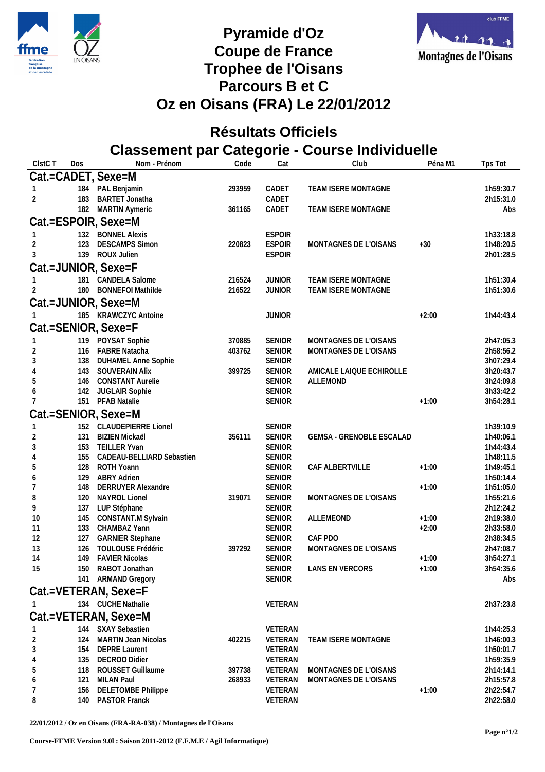



## **Pyramide d'Oz** Coupe de France Montagnes de l'Oisans **Trophee de l'Oisans Parcours B et C Oz en Oisans (FRA) Le 22/01/2012**

## **Résultats Officiels Classement par Categorie - Course Individuelle**

| ClstC T        | Dos        | Nom - Prénom                               | Code             | Cat                            | Club                     | Péna M1 | Tps Tot                |
|----------------|------------|--------------------------------------------|------------------|--------------------------------|--------------------------|---------|------------------------|
|                |            | Cat.=CADET, Sexe=M                         |                  |                                |                          |         |                        |
|                |            | 184 PAL Benjamin                           | 293959           | CADET                          | TEAM ISERE MONTAGNE      |         | 1h59:30.7              |
| $\overline{2}$ | 183        | <b>BARTET Jonatha</b>                      |                  | CADET                          |                          |         | 2h15:31.0              |
|                |            | 182 MARTIN Aymeric                         | 361165           | CADET                          | TEAM ISERE MONTAGNE      |         | Abs                    |
|                |            | Cat.=ESPOIR, Sexe=M                        |                  |                                |                          |         |                        |
|                |            | 132 BONNEL Alexis                          |                  | <b>ESPOIR</b>                  |                          |         | 1h33:18.8              |
| 2              | 123        | <b>DESCAMPS Simon</b>                      | 220823           | <b>ESPOIR</b>                  | MONTAGNES DE L'OISANS    | $+30$   | 1h48:20.5              |
| 3              |            | 139 ROUX Julien                            |                  | <b>ESPOIR</b>                  |                          |         | 2h01:28.5              |
|                |            | Cat.=JUNIOR, Sexe=F                        |                  |                                |                          |         |                        |
|                |            | 181 CANDELA Salome                         | 216524           | <b>JUNIOR</b>                  | TEAM ISERE MONTAGNE      |         | 1h51:30.4              |
|                | 180        | <b>BONNEFOI Mathilde</b>                   | 216522           | <b>JUNIOR</b>                  | TEAM ISERE MONTAGNE      |         | 1h51:30.6              |
|                |            |                                            |                  |                                |                          |         |                        |
|                |            | Cat.=JUNIOR, Sexe=M                        |                  |                                |                          |         |                        |
|                |            | 185 KRAWCZYC Antoine                       |                  | <b>JUNIOR</b>                  |                          | $+2:00$ | 1h44:43.4              |
|                |            | Cat.=SENIOR, Sexe=F                        |                  |                                |                          |         |                        |
|                |            | 119 POYSAT Sophie                          | 370885           | SENIOR                         | MONTAGNES DE L'OISANS    |         | 2h47:05.3              |
| 2              | 116        | <b>FABRE Natacha</b>                       | 403762           | SENIOR                         | MONTAGNES DE L'OISANS    |         | 2h58:56.2              |
| 3              | 138        | <b>DUHAMEL Anne Sophie</b>                 |                  | <b>SENIOR</b>                  |                          |         | 3h07:29.4              |
|                | 143        | SOUVERAIN Alix                             | 399725           | <b>SENIOR</b>                  | AMICALE LAIQUE ECHIROLLE |         | 3h20:43.7              |
|                | 146        | <b>CONSTANT Aurelie</b>                    |                  | <b>SENIOR</b>                  | ALLEMOND                 |         | 3h24:09.8              |
| 6              | 142<br>151 | JUGLAIR Sophie<br>PFAB Natalie             |                  | <b>SENIOR</b><br><b>SENIOR</b> |                          | $+1:00$ | 3h33:42.2<br>3h54:28.1 |
|                |            |                                            |                  |                                |                          |         |                        |
|                |            | Cat.=SENIOR, Sexe=M                        |                  |                                |                          |         |                        |
|                |            | 152 CLAUDEPIERRE Lionel                    |                  | <b>SENIOR</b>                  |                          |         | 1h39:10.9              |
| 2              | 131        | <b>BIZIEN Mickaël</b><br>153 TEILLER Yvan  | 356111           | <b>SENIOR</b><br><b>SENIOR</b> | GEMSA - GRENOBLE ESCALAD |         | 1h40:06.1              |
| 3<br>4         | 155        | CADEAU-BELLIARD Sebastien                  |                  | <b>SENIOR</b>                  |                          |         | 1h44:43.4<br>1h48:11.5 |
| 5              | 128        | ROTH Yoann                                 |                  | <b>SENIOR</b>                  | CAF ALBERTVILLE          | $+1:00$ | 1h49:45.1              |
| 6              | 129        | <b>ABRY Adrien</b>                         |                  | <b>SENIOR</b>                  |                          |         | 1h50:14.4              |
| 7              | 148        | <b>DERRUYER Alexandre</b>                  |                  | SENIOR                         |                          | $+1:00$ | 1h51:05.0              |
| 8              | 120        | NAYROL Lionel                              | 319071           | <b>SENIOR</b>                  | MONTAGNES DE L'OISANS    |         | 1h55:21.6              |
| 9              | 137        | LUP Stéphane                               |                  | SENIOR                         |                          |         | 2h12:24.2              |
| 10             | 145        | CONSTANT.M Sylvain                         |                  | <b>SENIOR</b>                  | ALLEMEOND                | $+1:00$ | 2h19:38.0              |
| 11             | 133        | CHAMBAZ Yann                               |                  | <b>SENIOR</b>                  |                          | $+2:00$ | 2h33:58.0              |
| 12             | 127        | <b>GARNIER Stephane</b>                    |                  | <b>SENIOR</b>                  | CAF PDO                  |         | 2h38:34.5              |
| 13<br>14       | 126<br>149 | TOULOUSE Frédéric<br><b>FAVIER Nicolas</b> | 397292           | <b>SENIOR</b><br><b>SENIOR</b> | MONTAGNES DE L'OISANS    | $+1:00$ | 2h47:08.7<br>3h54:27.1 |
| 15             | 150        | RABOT Jonathan                             |                  | <b>SENIOR</b>                  | LANS EN VERCORS          | $+1:00$ | 3h54:35.6              |
|                |            | 141 ARMAND Gregory                         |                  | <b>SENIOR</b>                  |                          |         | Abs                    |
|                |            | Cat.=VETERAN, Sexe=F                       |                  |                                |                          |         |                        |
|                |            |                                            |                  |                                |                          |         |                        |
|                |            | 134 CUCHE Nathalie                         |                  | VETERAN                        |                          |         | 2h37:23.8              |
|                |            | Cat.=VETERAN, Sexe=M                       |                  |                                |                          |         |                        |
|                |            | 144 SXAY Sebastien                         |                  | VETERAN                        |                          |         | 1h44:25.3              |
| $\sqrt{2}$     | 124        | <b>MARTIN Jean Nicolas</b>                 | 402215           | VETERAN                        | TEAM ISERE MONTAGNE      |         | 1h46:00.3              |
| $\sqrt{3}$     | 154        | <b>DEPRE Laurent</b>                       |                  | VETERAN                        |                          |         | 1h50:01.7              |
| 4              | 135        | <b>DECROO Didier</b><br>ROUSSET Guillaume  |                  | VETERAN                        | MONTAGNES DE L'OISANS    |         | 1h59:35.9              |
| 5              | 118<br>121 | MILAN Paul                                 | 397738<br>268933 | VETERAN<br>VETERAN             | MONTAGNES DE L'OISANS    |         | 2h14:14.1<br>2h15:57.8 |
| 6              | 156        | <b>DELETOMBE Philippe</b>                  |                  | VETERAN                        |                          | $+1:00$ | 2h22:54.7              |
| 8              | 140        | PASTOR Franck                              |                  | VETERAN                        |                          |         | 2h22:58.0              |
|                |            |                                            |                  |                                |                          |         |                        |

**22/01/2012 / Oz en Oisans (FRA-RA-038) / Montagnes de l'Oisans**